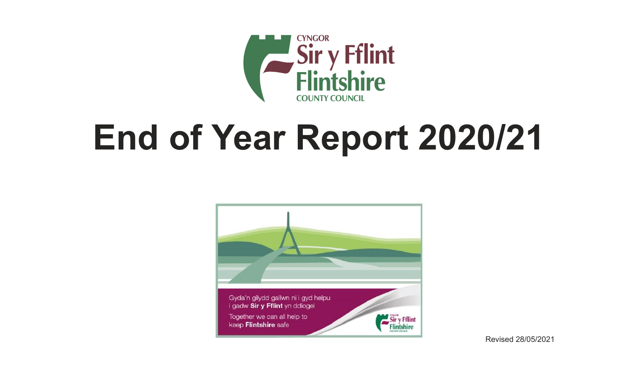

# **End of Year Report 2020/21**



Revised 28/05/2021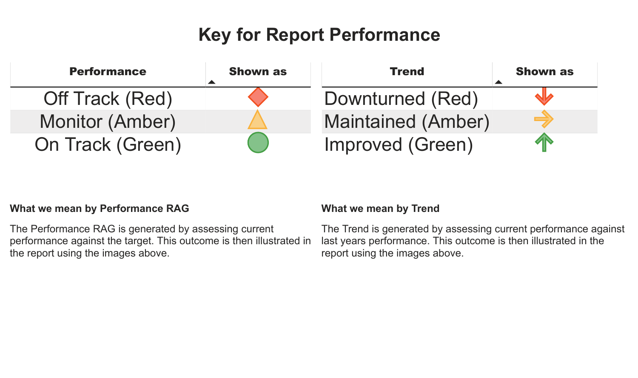# **Key for Report Performance**



#### **What we mean by Performance RAG**

The Performance RAG is generated by assessing current performance against the target. This outcome is then illustrated in the report using the images above.

#### **What we mean by Trend**

The Trend is generated by assessing current performance against last years performance. This outcome is then illustrated in the report using the images above.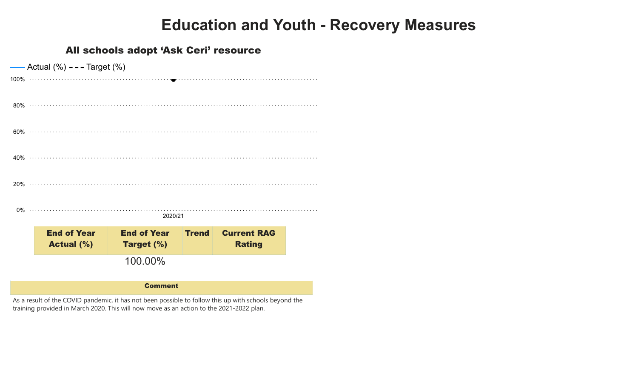# **Education and Youth - Recovery Measures**

#### All schools adopt 'Ask Ceri' resource

|                | Actual $(\%)$ - - - Target $(\%)$ |                    |              |                    |  |  |  |  |  |  |
|----------------|-----------------------------------|--------------------|--------------|--------------------|--|--|--|--|--|--|
|                |                                   |                    |              |                    |  |  |  |  |  |  |
|                |                                   |                    |              |                    |  |  |  |  |  |  |
|                |                                   |                    |              |                    |  |  |  |  |  |  |
|                |                                   |                    |              |                    |  |  |  |  |  |  |
|                |                                   |                    |              |                    |  |  |  |  |  |  |
| 2020/21        |                                   |                    |              |                    |  |  |  |  |  |  |
|                | <b>End of Year</b>                | <b>End of Year</b> | <b>Trend</b> | <b>Current RAG</b> |  |  |  |  |  |  |
|                | <b>Actual (%)</b>                 | <b>Target (%)</b>  |              | <b>Rating</b>      |  |  |  |  |  |  |
|                |                                   | 100.00%            |              |                    |  |  |  |  |  |  |
| <b>Comment</b> |                                   |                    |              |                    |  |  |  |  |  |  |

As a result of the COVID pandemic, it has not been possible to follow this up with schools beyond the training provided in March 2020. This will now move as an action to the 2021-2022 plan.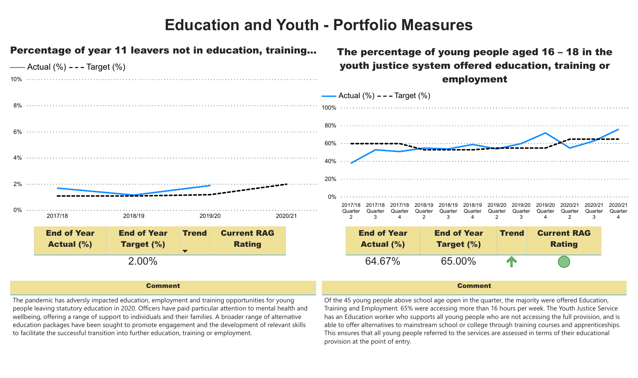

#### Comment

The pandemic has adversly impacted education, employment and training opportunities for young people leaving statutory education in 2020. Officers have paid particular attention to mental health and wellbeing, offering a range of support to individuals and their families. A broader range of alternative education packages have been sought to promote engagement and the development of relevant skills to facilitate the successful transition into further education, training or employment.

Of the 45 young people above school age open in the quarter, the majority were offered Education, Training and Employment. 65% were accessing more than 16 hours per week. The Youth Justice Service has an Education worker who supports all young people who are not accessing the full provision, and is able to offer alternatives to mainstream school or college through training courses and apprenticeships. This ensures that all young people referred to the services are assessed in terms of their educational provision at the point of entry.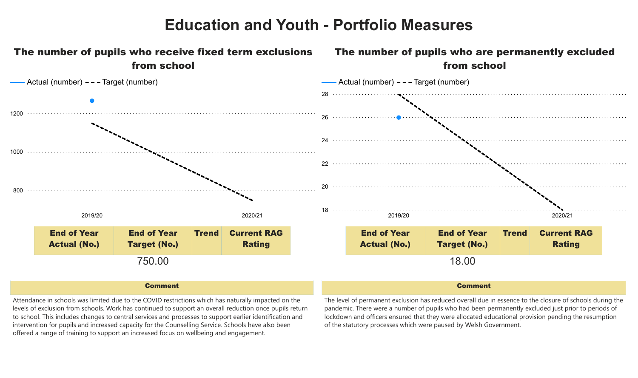

#### Comment

Comment

Attendance in schools was limited due to the COVID restrictions which has naturally impacted on the levels of exclusion from schools. Work has continued to support an overall reduction once pupils return to school. This includes changes to central services and processes to support earlier identification and intervention for pupils and increased capacity for the Counselling Service. Schools have also been offered a range of training to support an increased focus on wellbeing and engagement.

The level of permanent exclusion has reduced overall due in essence to the closure of schools during the pandemic. There were a number of pupils who had been permanently excluded just prior to periods of lockdown and officers ensured that they were allocated educational provision pending the resumption of the statutory processes which were paused by Welsh Government.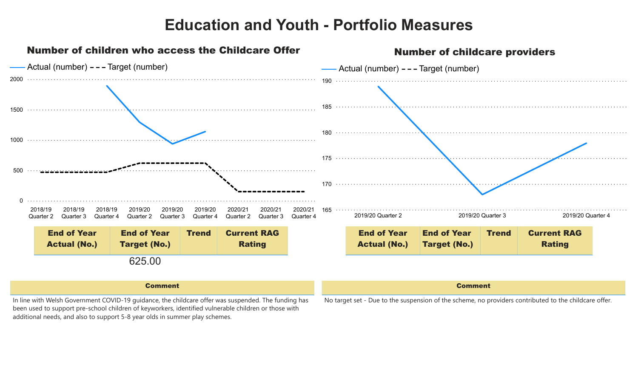

#### Comment

In line with Welsh Government COVID-19 guidance, the childcare offer was suspended. The funding has been used to support pre-school children of keyworkers, identified vulnerable children or those with additional needs, and also to support 5-8 year olds in summer play schemes.

No target set - Due to the suspension of the scheme, no providers contributed to the childcare offer.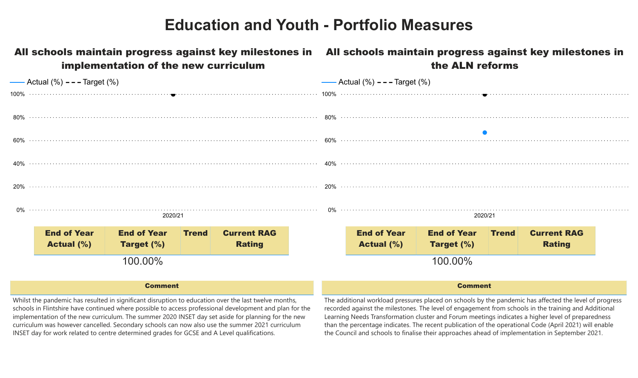| implementation of the new curriculum |                                                                                                      |                    |              |                    |  | All schools maintain progress against key milestones in All schools maintain progress against key milestones in<br>the ALN reforms |                    |                    |              |                    |  |  |
|--------------------------------------|------------------------------------------------------------------------------------------------------|--------------------|--------------|--------------------|--|------------------------------------------------------------------------------------------------------------------------------------|--------------------|--------------------|--------------|--------------------|--|--|
|                                      | — Actual $(\%)$ – – – Target $(\%)$                                                                  |                    |              |                    |  | —— Actual $(\%)$ - - - Target $(\%)$                                                                                               |                    |                    |              |                    |  |  |
|                                      |                                                                                                      |                    |              |                    |  |                                                                                                                                    |                    |                    |              |                    |  |  |
|                                      |                                                                                                      |                    |              |                    |  |                                                                                                                                    |                    |                    |              |                    |  |  |
|                                      |                                                                                                      |                    |              |                    |  |                                                                                                                                    |                    |                    |              |                    |  |  |
|                                      |                                                                                                      |                    |              |                    |  |                                                                                                                                    |                    |                    |              |                    |  |  |
|                                      |                                                                                                      |                    |              |                    |  |                                                                                                                                    |                    |                    |              |                    |  |  |
|                                      | 2020/21                                                                                              |                    |              |                    |  |                                                                                                                                    |                    | 2020/21            |              |                    |  |  |
|                                      | <b>End of Year</b>                                                                                   | <b>End of Year</b> | <b>Trend</b> | <b>Current RAG</b> |  |                                                                                                                                    | <b>End of Year</b> | <b>End of Year</b> | <b>Trend</b> | <b>Current RAG</b> |  |  |
|                                      | <b>Actual (%)</b>                                                                                    | <b>Target (%)</b>  |              | <b>Rating</b>      |  |                                                                                                                                    | <b>Actual (%)</b>  | <b>Target (%)</b>  |              | Rating             |  |  |
|                                      | 100.00%                                                                                              |                    |              |                    |  |                                                                                                                                    |                    | 100.00%            |              |                    |  |  |
|                                      | <b>Comment</b>                                                                                       |                    |              |                    |  | <b>Comment</b>                                                                                                                     |                    |                    |              |                    |  |  |
|                                      | Whilst the pandemic has resulted in significant disruption to education over the last twelve months. |                    |              |                    |  | The additional workload pressures placed on schools by the pandemic has affected the level of progress                             |                    |                    |              |                    |  |  |

Whilst the pandemic has resulted in significant disruption to education over the last twelve months, schools in Flintshire have continued where possible to access professional development and plan for the implementation of the new curriculum. The summer 2020 INSET day set aside for planning for the new curriculum was however cancelled. Secondary schools can now also use the summer 2021 curriculum INSET day for work related to centre determined grades for GCSE and A Level qualifications.

The additional workload pressures placed on schools by the pandemic has affected the level of progress recorded against the milestones. The level of engagement from schools in the training and Additional Learning Needs Transformation cluster and Forum meetings indicates a higher level of preparedness than the percentage indicates. The recent publication of the operational Code (April 2021) will enable the Council and schools to finalise their approaches ahead of implementation in September 2021.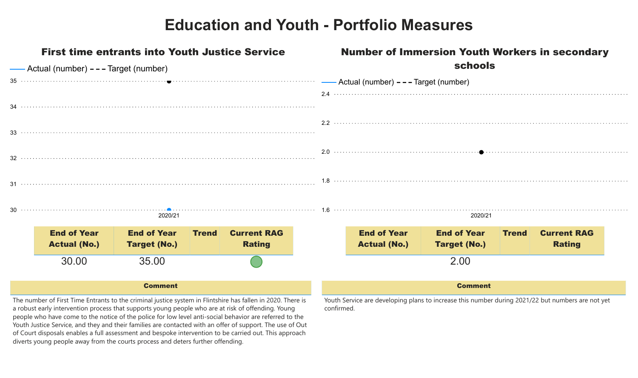| <b>First time entrants into Youth Justice Service</b><br>-Actual (number) - - - Target (number) |                                                                                                                                                                                                                                                                                                                                            |                     |              |                    | <b>Number of Immersion Youth Workers in secondary</b> |                                             |                     |                     |              |                    |  |
|-------------------------------------------------------------------------------------------------|--------------------------------------------------------------------------------------------------------------------------------------------------------------------------------------------------------------------------------------------------------------------------------------------------------------------------------------------|---------------------|--------------|--------------------|-------------------------------------------------------|---------------------------------------------|---------------------|---------------------|--------------|--------------------|--|
|                                                                                                 |                                                                                                                                                                                                                                                                                                                                            |                     |              |                    | <b>schools</b>                                        |                                             |                     |                     |              |                    |  |
|                                                                                                 |                                                                                                                                                                                                                                                                                                                                            |                     |              |                    |                                                       | ----- Actual (number) - - - Target (number) |                     |                     |              |                    |  |
|                                                                                                 |                                                                                                                                                                                                                                                                                                                                            |                     |              |                    |                                                       |                                             |                     |                     |              |                    |  |
|                                                                                                 |                                                                                                                                                                                                                                                                                                                                            |                     |              |                    |                                                       |                                             |                     |                     |              |                    |  |
|                                                                                                 |                                                                                                                                                                                                                                                                                                                                            |                     |              |                    |                                                       |                                             |                     |                     |              |                    |  |
|                                                                                                 |                                                                                                                                                                                                                                                                                                                                            |                     |              |                    |                                                       |                                             |                     |                     |              |                    |  |
|                                                                                                 |                                                                                                                                                                                                                                                                                                                                            |                     |              |                    |                                                       |                                             |                     |                     |              |                    |  |
|                                                                                                 |                                                                                                                                                                                                                                                                                                                                            |                     |              |                    |                                                       |                                             |                     |                     |              |                    |  |
|                                                                                                 | 31 $\cdots$ $\cdots$ $\cdots$ $\cdots$ $\cdots$ $\cdots$ $\cdots$ $\cdots$ $\cdots$ $\cdots$ $\cdots$ $\cdots$ $\cdots$ $\cdots$ $\cdots$ $\cdots$ $\cdots$ $\cdots$ $\cdots$ $\cdots$ $\cdots$ $\cdots$ $\cdots$ $\cdots$ $\cdots$ $\cdots$ $\cdots$ $\cdots$ $\cdots$ $\cdots$ $\cdots$ $\cdots$ $\cdots$ $\cdots$ $\cdots$ $\cdots$ $\$ |                     |              |                    |                                                       |                                             |                     |                     |              |                    |  |
|                                                                                                 |                                                                                                                                                                                                                                                                                                                                            |                     |              |                    |                                                       |                                             |                     |                     |              |                    |  |
|                                                                                                 | 2020/21                                                                                                                                                                                                                                                                                                                                    |                     |              |                    | 2020/21                                               |                                             |                     |                     |              |                    |  |
|                                                                                                 | <b>End of Year</b>                                                                                                                                                                                                                                                                                                                         | <b>End of Year</b>  | <b>Trend</b> | <b>Current RAG</b> |                                                       |                                             | <b>End of Year</b>  | <b>End of Year</b>  | <b>Trend</b> | <b>Current RAG</b> |  |
|                                                                                                 | <b>Actual (No.)</b>                                                                                                                                                                                                                                                                                                                        | <b>Target (No.)</b> |              | <b>Rating</b>      |                                                       |                                             | <b>Actual (No.)</b> | <b>Target (No.)</b> |              | <b>Rating</b>      |  |
|                                                                                                 | 30.00                                                                                                                                                                                                                                                                                                                                      | 35.00               |              |                    |                                                       |                                             |                     | 2.00                |              |                    |  |
|                                                                                                 |                                                                                                                                                                                                                                                                                                                                            |                     |              |                    |                                                       |                                             |                     |                     |              |                    |  |
|                                                                                                 |                                                                                                                                                                                                                                                                                                                                            |                     |              |                    |                                                       | <b>Comment</b>                              |                     |                     |              |                    |  |
|                                                                                                 | The number of First Time Entrants to the criminal justice system in Elintshire bas fallen in 2020. There is youth Service are developing plans to increase this number during 2021/22 but numbers are not yet                                                                                                                              | <b>Comment</b>      |              |                    |                                                       |                                             |                     |                     |              |                    |  |

The number of First Time Entrants to the criminal justice system in Flintshire has fallen in 2020. There is a robust early intervention process that supports young people who are at risk of offending. Young people who have come to the notice of the police for low level anti-social behavior are referred to the Youth Justice Service, and they and their families are contacted with an offer of support. The use of Out of Court disposals enables a full assessment and bespoke intervention to be carried out. This approach diverts young people away from the courts process and deters further offending.

Youth Service are developing plans to increase this number during 2021/22 but numbers are not yet confirmed.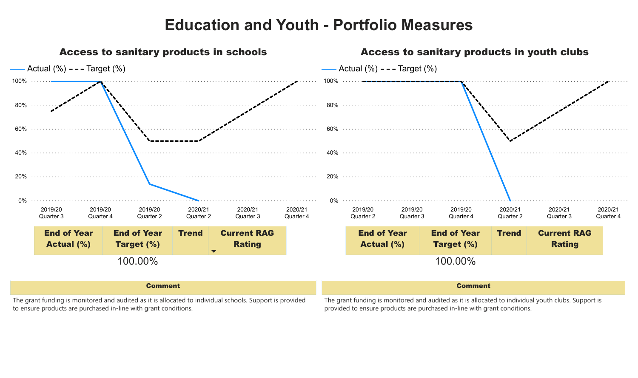

The grant funding is monitored and audited as it is allocated to individual schools. Support is provided to ensure products are purchased in-line with grant conditions.

The grant funding is monitored and audited as it is allocated to individual youth clubs. Support is provided to ensure products are purchased in-line with grant conditions.